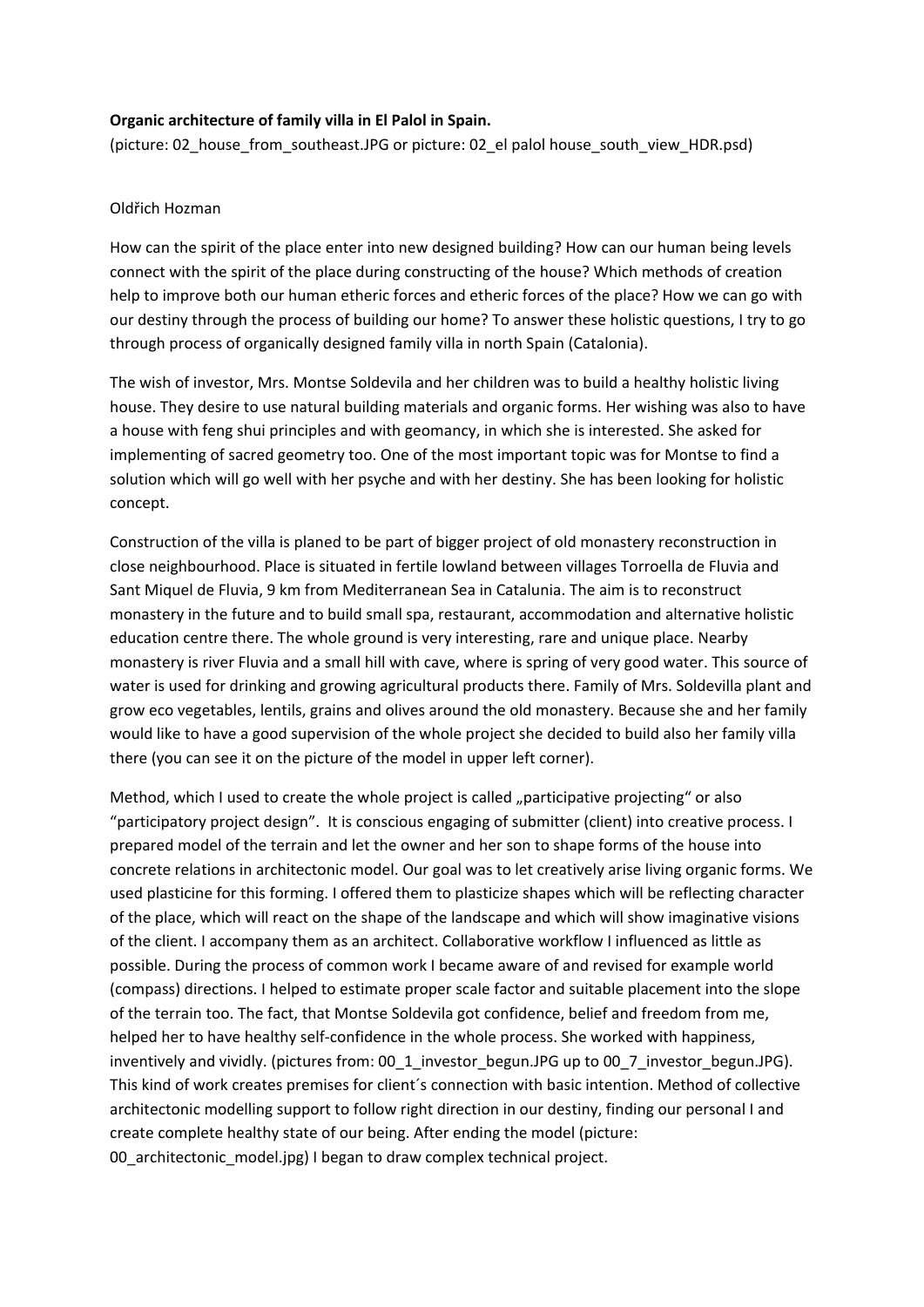## **Organic architecture of family villa in El Palol in Spain.**

(picture: 02\_house\_from\_southeast.JPG or picture: 02\_el palol house\_south\_view\_HDR.psd)

## Oldřich Hozman

How can the spirit of the place enter into new designed building? How can our human being levels connect with the spirit of the place during constructing of the house? Which methods of creation help to improve both our human etheric forces and etheric forces of the place? How we can go with our destiny through the process of building our home? To answer these holistic questions, I try to go through process of organically designed family villa in north Spain (Catalonia).

The wish of investor, Mrs. Montse Soldevila and her children was to build a healthy holistic living house. They desire to use natural building materials and organic forms. Her wishing was also to have a house with feng shui principles and with geomancy, in which she is interested. She asked for implementing of sacred geometry too. One of the most important topic was for Montse to find a solution which will go well with her psyche and with her destiny. She has been looking for holistic concept.

Construction of the villa is planed to be part of bigger project of old monastery reconstruction in close neighbourhood. Place is situated in fertile lowland between villages Torroella de Fluvia and Sant Miquel de Fluvia, 9 km from Mediterranean Sea in Catalunia. The aim is to reconstruct monastery in the future and to build small spa, restaurant, accommodation and alternative holistic education centre there. The whole ground is very interesting, rare and unique place. Nearby monastery is river Fluvia and a small hill with cave, where is spring of very good water. This source of water is used for drinking and growing agricultural products there. Family of Mrs. Soldevilla plant and grow eco vegetables, lentils, grains and olives around the old monastery. Because she and her family would like to have a good supervision of the whole project she decided to build also her family villa there (you can see it on the picture of the model in upper left corner).

Method, which I used to create the whole project is called "participative projecting" or also "participatory project design". It is conscious engaging of submitter (client) into creative process. I prepared model of the terrain and let the owner and her son to shape forms of the house into concrete relations in architectonic model. Our goal was to let creatively arise living organic forms. We used plasticine for this forming. I offered them to plasticize shapes which will be reflecting character of the place, which will react on the shape of the landscape and which will show imaginative visions of the client. I accompany them as an architect. Collaborative workflow I influenced as little as possible. During the process of common work I became aware of and revised for example world (compass) directions. I helped to estimate proper scale factor and suitable placement into the slope of the terrain too. The fact, that Montse Soldevila got confidence, belief and freedom from me, helped her to have healthy self-confidence in the whole process. She worked with happiness, inventively and vividly. (pictures from: 00\_1\_investor\_begun.JPG up to 00\_7\_investor\_begun.JPG). This kind of work creates premises for client´s connection with basic intention. Method of collective architectonic modelling support to follow right direction in our destiny, finding our personal I and create complete healthy state of our being. After ending the model (picture: 00 architectonic model.jpg) I began to draw complex technical project.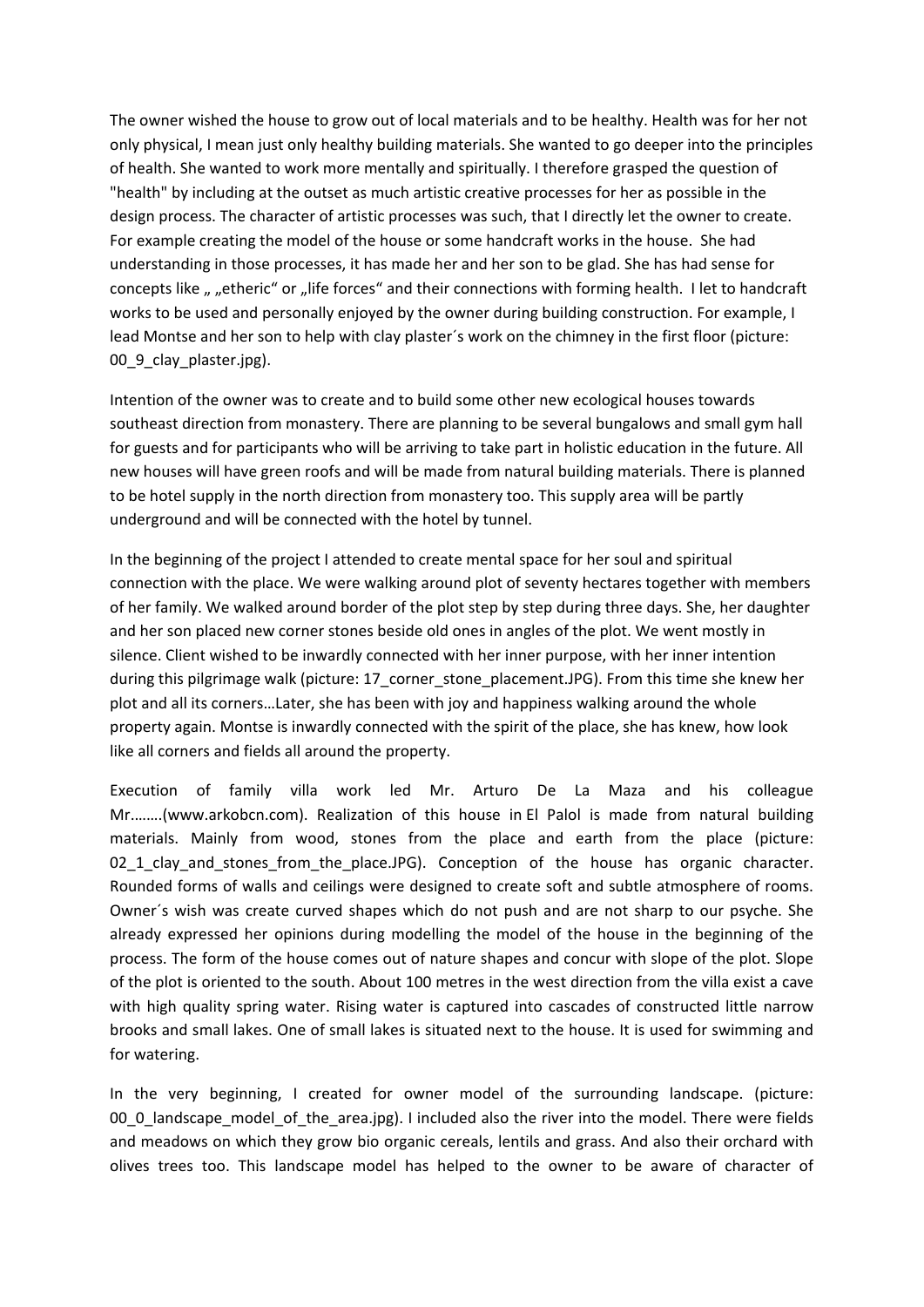The owner wished the house to grow out of local materials and to be healthy. Health was for her not only physical, I mean just only healthy building materials. She wanted to go deeper into the principles of health. She wanted to work more mentally and spiritually. I therefore grasped the question of "health" by including at the outset as much artistic creative processes for her as possible in the design process. The character of artistic processes was such, that I directly let the owner to create. For example creating the model of the house or some handcraft works in the house. She had understanding in those processes, it has made her and her son to be glad. She has had sense for concepts like " "etheric" or "life forces" and their connections with forming health. I let to handcraft works to be used and personally enjoyed by the owner during building construction. For example, I lead Montse and her son to help with clay plaster´s work on the chimney in the first floor (picture: 00 9 clay plaster.jpg).

Intention of the owner was to create and to build some other new ecological houses towards southeast direction from monastery. There are planning to be several bungalows and small gym hall for guests and for participants who will be arriving to take part in holistic education in the future. All new houses will have green roofs and will be made from natural building materials. There is planned to be hotel supply in the north direction from monastery too. This supply area will be partly underground and will be connected with the hotel by tunnel.

In the beginning of the project I attended to create mental space for her soul and spiritual connection with the place. We were walking around plot of seventy hectares together with members of her family. We walked around border of the plot step by step during three days. She, her daughter and her son placed new corner stones beside old ones in angles of the plot. We went mostly in silence. Client wished to be inwardly connected with her inner purpose, with her inner intention during this pilgrimage walk (picture: 17\_corner\_stone\_placement.JPG). From this time she knew her plot and all its corners…Later, she has been with joy and happiness walking around the whole property again. Montse is inwardly connected with the spirit of the place, she has knew, how look like all corners and fields all around the property.

Execution of family villa work led Mr. Arturo De La Maza and his colleague Mr.…….(www.arkobcn.com). Realization of this house in El Palol is made from natural building materials. Mainly from wood, stones from the place and earth from the place (picture: 02\_1\_clay\_and\_stones\_from\_the\_place.JPG). Conception of the house has organic character. Rounded forms of walls and ceilings were designed to create soft and subtle atmosphere of rooms. Owner´s wish was create curved shapes which do not push and are not sharp to our psyche. She already expressed her opinions during modelling the model of the house in the beginning of the process. The form of the house comes out of nature shapes and concur with slope of the plot. Slope of the plot is oriented to the south. About 100 metres in the west direction from the villa exist a cave with high quality spring water. Rising water is captured into cascades of constructed little narrow brooks and small lakes. One of small lakes is situated next to the house. It is used for swimming and for watering.

In the very beginning, I created for owner model of the surrounding landscape. (picture: 00 0 landscape model of the area.jpg). I included also the river into the model. There were fields and meadows on which they grow bio organic cereals, lentils and grass. And also their orchard with olives trees too. This landscape model has helped to the owner to be aware of character of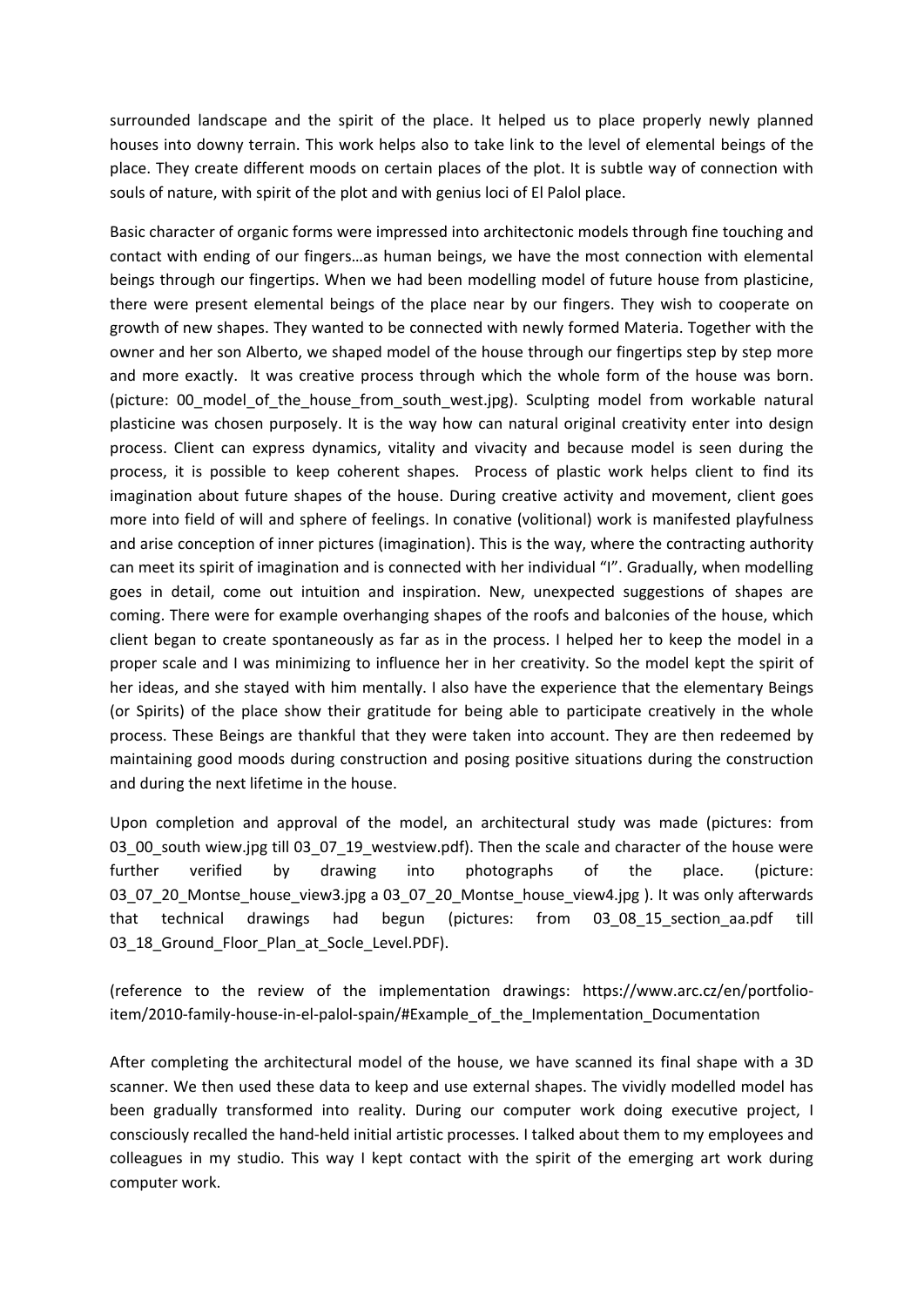surrounded landscape and the spirit of the place. It helped us to place properly newly planned houses into downy terrain. This work helps also to take link to the level of elemental beings of the place. They create different moods on certain places of the plot. It is subtle way of connection with souls of nature, with spirit of the plot and with genius loci of El Palol place.

Basic character of organic forms were impressed into architectonic models through fine touching and contact with ending of our fingers…as human beings, we have the most connection with elemental beings through our fingertips. When we had been modelling model of future house from plasticine, there were present elemental beings of the place near by our fingers. They wish to cooperate on growth of new shapes. They wanted to be connected with newly formed Materia. Together with the owner and her son Alberto, we shaped model of the house through our fingertips step by step more and more exactly. It was creative process through which the whole form of the house was born. (picture: 00 model of the house from south west.jpg). Sculpting model from workable natural plasticine was chosen purposely. It is the way how can natural original creativity enter into design process. Client can express dynamics, vitality and vivacity and because model is seen during the process, it is possible to keep coherent shapes. Process of plastic work helps client to find its imagination about future shapes of the house. During creative activity and movement, client goes more into field of will and sphere of feelings. In conative (volitional) work is manifested playfulness and arise conception of inner pictures (imagination). This is the way, where the contracting authority can meet its spirit of imagination and is connected with her individual "I". Gradually, when modelling goes in detail, come out intuition and inspiration. New, unexpected suggestions of shapes are coming. There were for example overhanging shapes of the roofs and balconies of the house, which client began to create spontaneously as far as in the process. I helped her to keep the model in a proper scale and I was minimizing to influence her in her creativity. So the model kept the spirit of her ideas, and she stayed with him mentally. I also have the experience that the elementary Beings (or Spirits) of the place show their gratitude for being able to participate creatively in the whole process. These Beings are thankful that they were taken into account. They are then redeemed by maintaining good moods during construction and posing positive situations during the construction and during the next lifetime in the house.

Upon completion and approval of the model, an architectural study was made (pictures: from 03\_00\_south wiew.jpg till 03\_07\_19\_westview.pdf). Then the scale and character of the house were further verified by drawing into photographs of the place. (picture: 03\_07\_20\_Montse\_house\_view3.jpg a 03\_07\_20\_Montse\_house\_view4.jpg ). It was only afterwards that technical drawings had begun (pictures: from 03\_08\_15\_section\_aa.pdf till 03 18 Ground Floor Plan at Socle Level.PDF).

(reference to the review of the implementation drawings: https://www.arc.cz/en/portfolioitem/2010-family-house-in-el-palol-spain/#Example\_of\_the\_Implementation\_Documentation

After completing the architectural model of the house, we have scanned its final shape with a 3D scanner. We then used these data to keep and use external shapes. The vividly modelled model has been gradually transformed into reality. During our computer work doing executive project, I consciously recalled the hand-held initial artistic processes. I talked about them to my employees and colleagues in my studio. This way I kept contact with the spirit of the emerging art work during computer work.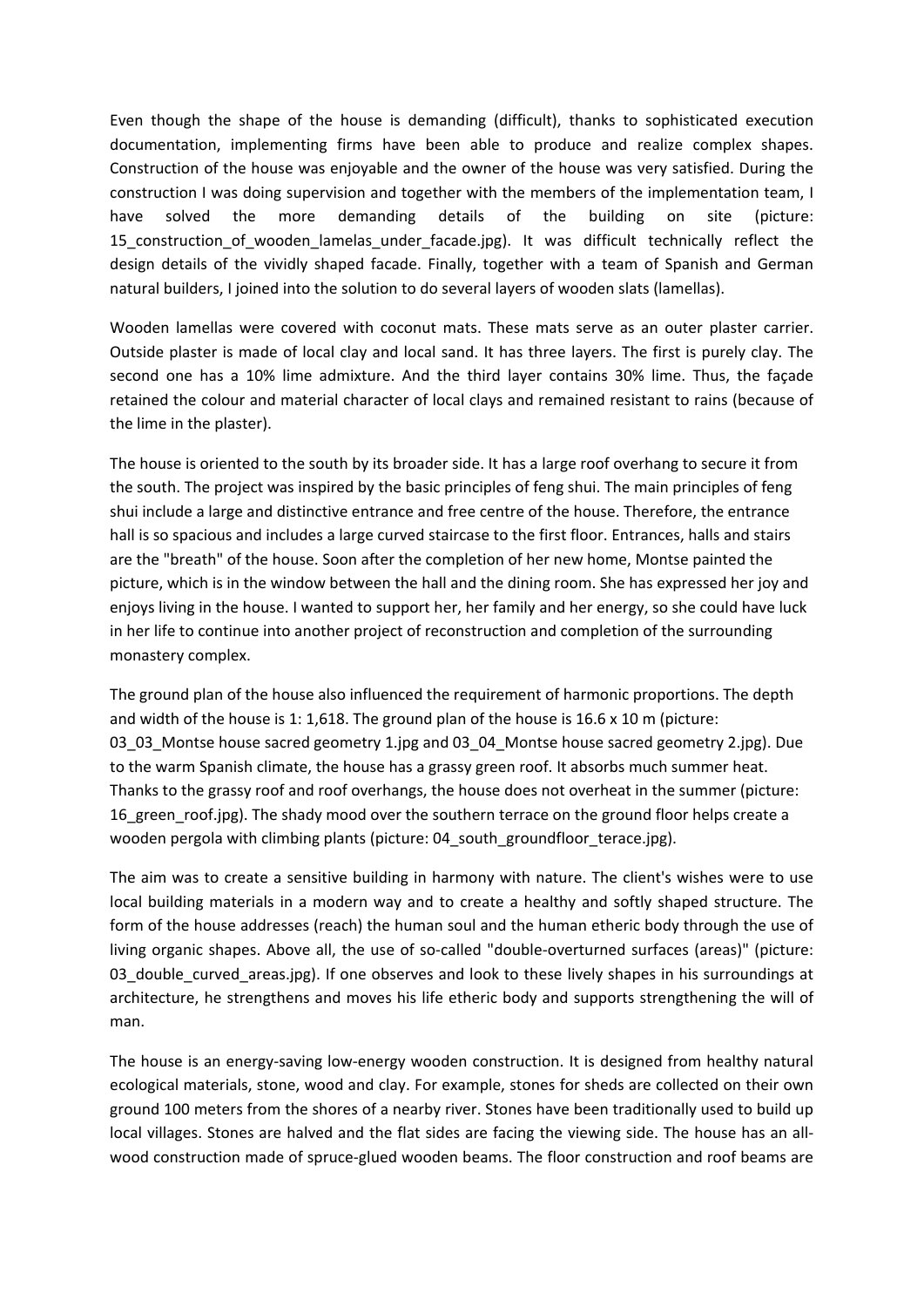Even though the shape of the house is demanding (difficult), thanks to sophisticated execution documentation, implementing firms have been able to produce and realize complex shapes. Construction of the house was enjoyable and the owner of the house was very satisfied. During the construction I was doing supervision and together with the members of the implementation team, I have solved the more demanding details of the building on site (picture: 15\_construction\_of\_wooden\_lamelas\_under\_facade.jpg). It was difficult technically reflect the design details of the vividly shaped facade. Finally, together with a team of Spanish and German natural builders, I joined into the solution to do several layers of wooden slats (lamellas).

Wooden lamellas were covered with coconut mats. These mats serve as an outer plaster carrier. Outside plaster is made of local clay and local sand. It has three layers. The first is purely clay. The second one has a 10% lime admixture. And the third layer contains 30% lime. Thus, the façade retained the colour and material character of local clays and remained resistant to rains (because of the lime in the plaster).

The house is oriented to the south by its broader side. It has a large roof overhang to secure it from the south. The project was inspired by the basic principles of feng shui. The main principles of feng shui include a large and distinctive entrance and free centre of the house. Therefore, the entrance hall is so spacious and includes a large curved staircase to the first floor. Entrances, halls and stairs are the "breath" of the house. Soon after the completion of her new home, Montse painted the picture, which is in the window between the hall and the dining room. She has expressed her joy and enjoys living in the house. I wanted to support her, her family and her energy, so she could have luck in her life to continue into another project of reconstruction and completion of the surrounding monastery complex.

The ground plan of the house also influenced the requirement of harmonic proportions. The depth and width of the house is 1: 1,618. The ground plan of the house is 16.6 x 10 m (picture: 03\_03\_Montse house sacred geometry 1.jpg and 03\_04\_Montse house sacred geometry 2.jpg). Due to the warm Spanish climate, the house has a grassy green roof. It absorbs much summer heat. Thanks to the grassy roof and roof overhangs, the house does not overheat in the summer (picture: 16\_green\_roof.jpg). The shady mood over the southern terrace on the ground floor helps create a wooden pergola with climbing plants (picture: 04\_south\_groundfloor\_terace.jpg).

The aim was to create a sensitive building in harmony with nature. The client's wishes were to use local building materials in a modern way and to create a healthy and softly shaped structure. The form of the house addresses (reach) the human soul and the human etheric body through the use of living organic shapes. Above all, the use of so-called "double-overturned surfaces (areas)" (picture: 03\_double\_curved\_areas.jpg). If one observes and look to these lively shapes in his surroundings at architecture, he strengthens and moves his life etheric body and supports strengthening the will of man.

The house is an energy-saving low-energy wooden construction. It is designed from healthy natural ecological materials, stone, wood and clay. For example, stones for sheds are collected on their own ground 100 meters from the shores of a nearby river. Stones have been traditionally used to build up local villages. Stones are halved and the flat sides are facing the viewing side. The house has an allwood construction made of spruce-glued wooden beams. The floor construction and roof beams are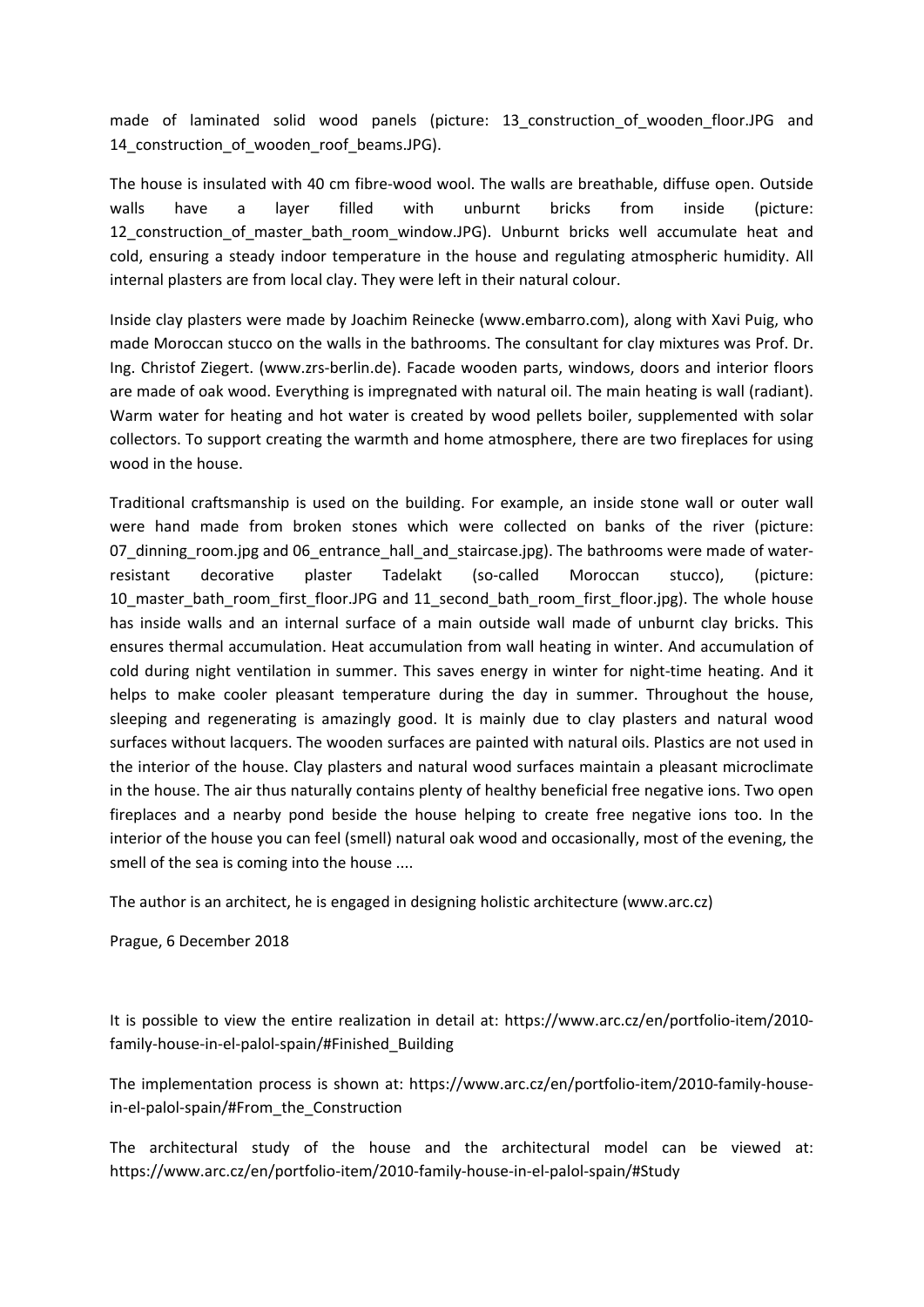made of laminated solid wood panels (picture: 13\_construction\_of\_wooden\_floor.JPG and 14\_construction\_of\_wooden\_roof\_beams.JPG).

The house is insulated with 40 cm fibre-wood wool. The walls are breathable, diffuse open. Outside walls have a layer filled with unburnt bricks from inside (picture: 12 construction of master bath room window.JPG). Unburnt bricks well accumulate heat and cold, ensuring a steady indoor temperature in the house and regulating atmospheric humidity. All internal plasters are from local clay. They were left in their natural colour.

Inside clay plasters were made by Joachim Reinecke (www.embarro.com), along with Xavi Puig, who made Moroccan stucco on the walls in the bathrooms. The consultant for clay mixtures was Prof. Dr. Ing. Christof Ziegert. (www.zrs-berlin.de). Facade wooden parts, windows, doors and interior floors are made of oak wood. Everything is impregnated with natural oil. The main heating is wall (radiant). Warm water for heating and hot water is created by wood pellets boiler, supplemented with solar collectors. To support creating the warmth and home atmosphere, there are two fireplaces for using wood in the house.

Traditional craftsmanship is used on the building. For example, an inside stone wall or outer wall were hand made from broken stones which were collected on banks of the river (picture: 07 dinning room.jpg and 06 entrance hall and staircase.jpg). The bathrooms were made of waterresistant decorative plaster Tadelakt (so-called Moroccan stucco), (picture: 10 master bath room first floor.JPG and 11 second bath room first floor.jpg). The whole house has inside walls and an internal surface of a main outside wall made of unburnt clay bricks. This ensures thermal accumulation. Heat accumulation from wall heating in winter. And accumulation of cold during night ventilation in summer. This saves energy in winter for night-time heating. And it helps to make cooler pleasant temperature during the day in summer. Throughout the house, sleeping and regenerating is amazingly good. It is mainly due to clay plasters and natural wood surfaces without lacquers. The wooden surfaces are painted with natural oils. Plastics are not used in the interior of the house. Clay plasters and natural wood surfaces maintain a pleasant microclimate in the house. The air thus naturally contains plenty of healthy beneficial free negative ions. Two open fireplaces and a nearby pond beside the house helping to create free negative ions too. In the interior of the house you can feel (smell) natural oak wood and occasionally, most of the evening, the smell of the sea is coming into the house ....

The author is an architect, he is engaged in designing holistic architecture (www.arc.cz)

Prague, 6 December 2018

It is possible to view the entire realization in detail at: https://www.arc.cz/en/portfolio-item/2010 family-house-in-el-palol-spain/#Finished\_Building

The implementation process is shown at: https://www.arc.cz/en/portfolio-item/2010-family-housein-el-palol-spain/#From\_the\_Construction

The architectural study of the house and the architectural model can be viewed at: https://www.arc.cz/en/portfolio-item/2010-family-house-in-el-palol-spain/#Study